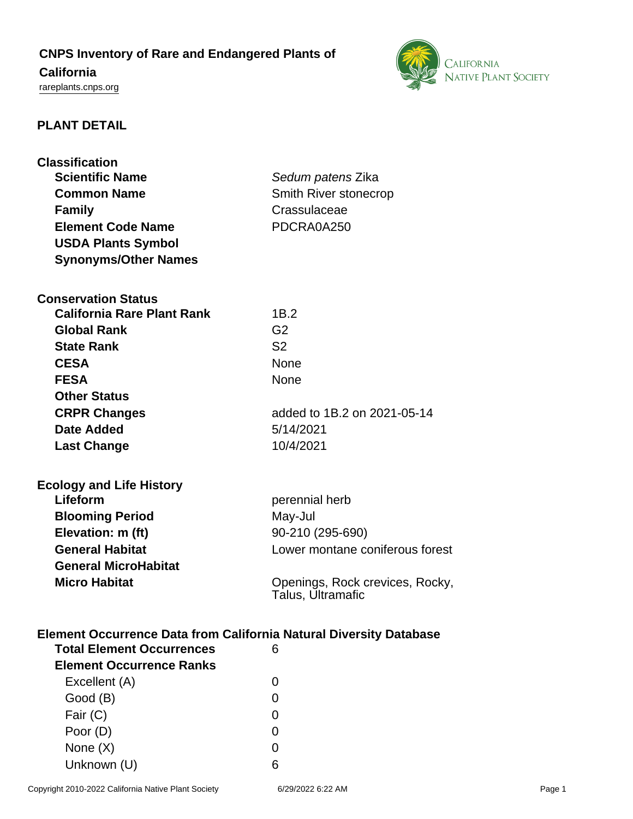## **CNPS Inventory of Rare and Endangered Plants of California**

# <rareplants.cnps.org>



### **PLANT DETAIL**

| <b>Classification</b><br><b>Scientific Name</b><br><b>Common Name</b><br><b>Family</b><br><b>Element Code Name</b> | Sedum patens Zika<br>Smith River stonecrop<br>Crassulaceae<br>PDCRA0A250 |
|--------------------------------------------------------------------------------------------------------------------|--------------------------------------------------------------------------|
| <b>USDA Plants Symbol</b>                                                                                          |                                                                          |
| <b>Synonyms/Other Names</b>                                                                                        |                                                                          |
| <b>Conservation Status</b>                                                                                         |                                                                          |
| <b>California Rare Plant Rank</b>                                                                                  | 1B.2                                                                     |
| <b>Global Rank</b>                                                                                                 | G <sub>2</sub>                                                           |
| <b>State Rank</b>                                                                                                  | S <sub>2</sub>                                                           |
| <b>CESA</b>                                                                                                        | <b>None</b>                                                              |
| <b>FESA</b>                                                                                                        | None                                                                     |
| <b>Other Status</b>                                                                                                |                                                                          |
| <b>CRPR Changes</b>                                                                                                | added to 1B.2 on 2021-05-14                                              |
| <b>Date Added</b>                                                                                                  | 5/14/2021                                                                |
| <b>Last Change</b>                                                                                                 | 10/4/2021                                                                |
| <b>Ecology and Life History</b>                                                                                    |                                                                          |
| Lifeform                                                                                                           | perennial herb                                                           |
| <b>Blooming Period</b>                                                                                             | May-Jul                                                                  |
| Elevation: m (ft)                                                                                                  | 90-210 (295-690)                                                         |
| <b>General Habitat</b>                                                                                             | Lower montane coniferous forest                                          |
| <b>General MicroHabitat</b>                                                                                        |                                                                          |
| <b>Micro Habitat</b>                                                                                               | Openings, Rock crevices, Rocky,<br>Talus, Ultramafic                     |
| <b>Element Occurrence Data from California Natural Diversity Database</b>                                          |                                                                          |
| <b>Total Element Occurrences</b>                                                                                   | 6                                                                        |
| <b>Element Occurrence Ranks</b>                                                                                    |                                                                          |
| Excellent (A)                                                                                                      | 0                                                                        |
| Good (B)                                                                                                           | 0                                                                        |
| Fair (C)                                                                                                           | 0                                                                        |
| Poor (D)                                                                                                           | 0                                                                        |
| None $(X)$                                                                                                         | 0                                                                        |
| Unknown (U)                                                                                                        | 6                                                                        |